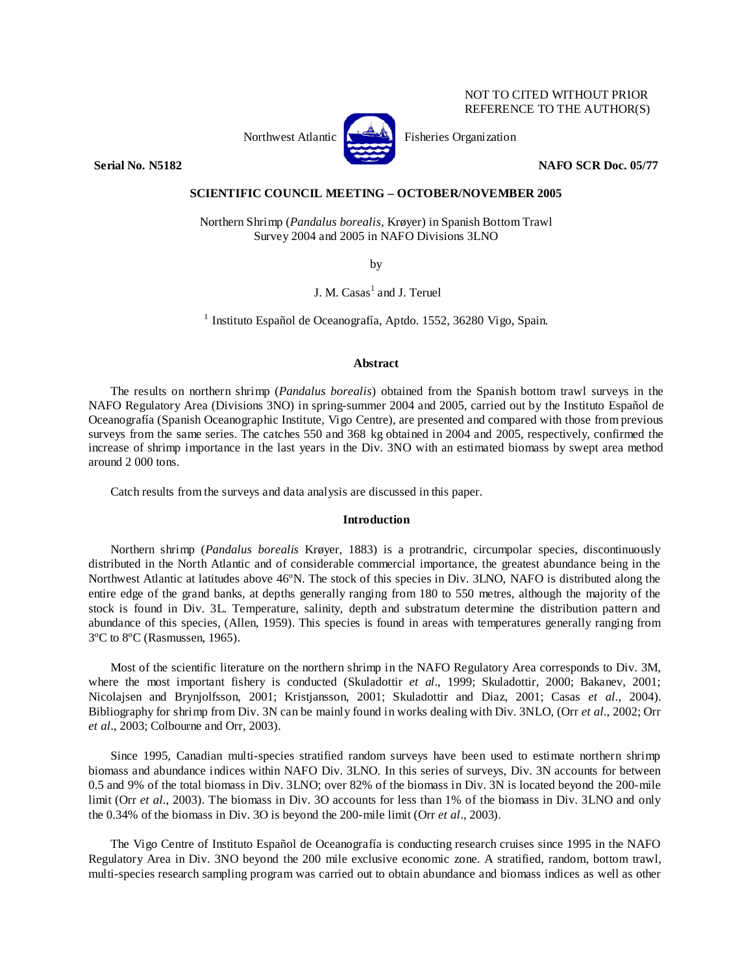# NOT TO CITED WITHOUT PRIOR REFERENCE TO THE AUTHOR(S)



Northwest Atlantic **No. 3. Expansion** Fisheries Organization

**Serial No. N5182 NAFO SCR Doc. 05/77** 

# **SCIENTIFIC COUNCIL MEETING – OCTOBER/NOVEMBER 2005**

Northern Shrimp (*Pandalus borealis*, Krøyer) in Spanish Bottom Trawl Survey 2004 and 2005 in NAFO Divisions 3LNO

by

J. M. Casas<sup>1</sup> and J. Teruel

1 Instituto Español de Oceanografía, Aptdo. 1552, 36280 Vigo, Spain.

### **Abstract**

The results on northern shrimp (*Pandalus borealis*) obtained from the Spanish bottom trawl surveys in the NAFO Regulatory Area (Divisions 3NO) in spring-summer 2004 and 2005, carried out by the Instituto Español de Oceanografía (Spanish Oceanographic Institute, Vigo Centre), are presented and compared with those from previous surveys from the same series. The catches 550 and 368 kg obtained in 2004 and 2005, respectively, confirmed the increase of shrimp importance in the last years in the Div. 3NO with an estimated biomass by swept area method around 2 000 tons.

Catch results from the surveys and data analysis are discussed in this paper.

### **Introduction**

Northern shrimp (*Pandalus borealis* Krøyer, 1883) is a protrandric, circumpolar species, discontinuously distributed in the North Atlantic and of considerable commercial importance, the greatest abundance being in the Northwest Atlantic at latitudes above 46ºN. The stock of this species in Div. 3LNO, NAFO is distributed along the entire edge of the grand banks, at depths generally ranging from 180 to 550 metres, although the majority of the stock is found in Div. 3L. Temperature, salinity, depth and substratum determine the distribution pattern and abundance of this species, (Allen, 1959). This species is found in areas with temperatures generally ranging from 3ºC to 8ºC (Rasmussen, 1965).

Most of the scientific literature on the northern shrimp in the NAFO Regulatory Area corresponds to Div. 3M, where the most important fishery is conducted (Skuladottir *et al*., 1999; Skuladottir, 2000; Bakanev, 2001; Nicolajsen and Brynjolfsson, 2001; Kristjansson, 2001; Skuladottir and Diaz, 2001; Casas *et al.*, 2004). Bibliography for shrimp from Div. 3N can be mainly found in works dealing with Div. 3NLO, (Orr *et al*., 2002; Orr *et al*., 2003; Colbourne and Orr, 2003).

Since 1995, Canadian multi-species stratified random surveys have been used to estimate northern shrimp biomass and abundance indices within NAFO Div. 3LNO. In this series of surveys, Div. 3N accounts for between 0.5 and 9% of the total biomass in Div. 3LNO; over 82% of the biomass in Div. 3N is located beyond the 200-mile limit (Orr *et al*., 2003). The biomass in Div. 3O accounts for less than 1% of the biomass in Div. 3LNO and only the 0.34% of the biomass in Div. 3O is beyond the 200-mile limit (Orr *et al*., 2003).

The Vigo Centre of Instituto Español de Oceanografía is conducting research cruises since 1995 in the NAFO Regulatory Area in Div. 3NO beyond the 200 mile exclusive economic zone. A stratified, random, bottom trawl, multi-species research sampling program was carried out to obtain abundance and biomass indices as well as other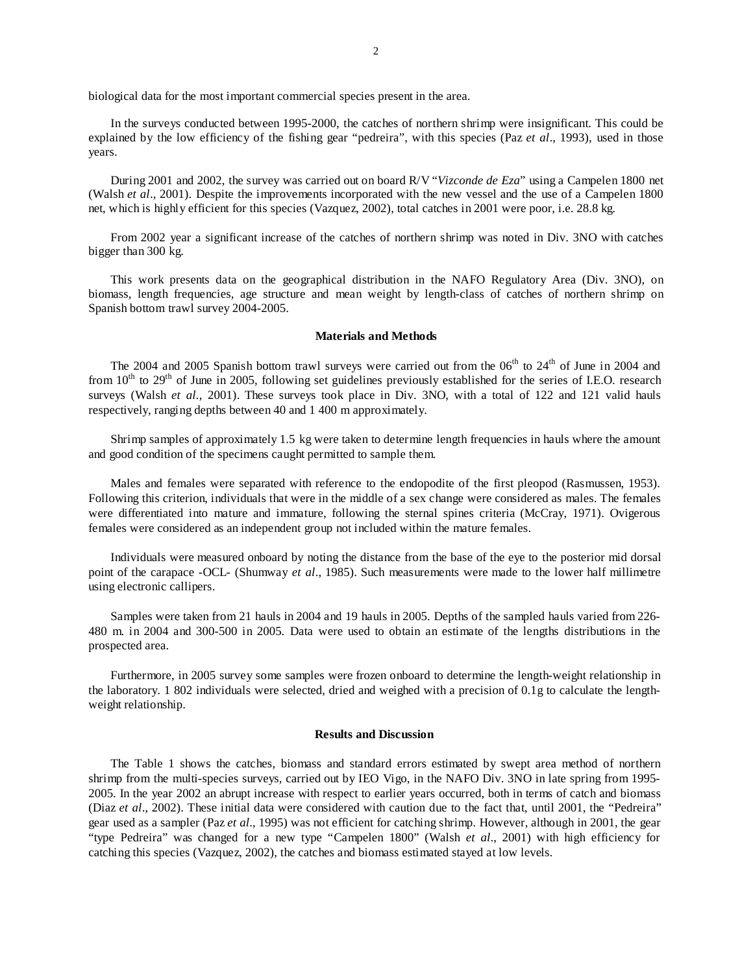biological data for the most important commercial species present in the area.

In the surveys conducted between 1995-2000, the catches of northern shrimp were insignificant. This could be explained by the low efficiency of the fishing gear "pedreira", with this species (Paz *et al*., 1993), used in those years.

During 2001 and 2002, the survey was carried out on board R/V "*Vizconde de Eza*" using a Campelen 1800 net (Walsh *et al*., 2001). Despite the improvements incorporated with the new vessel and the use of a Campelen 1800 net, which is highly efficient for this species (Vazquez, 2002), total catches in 2001 were poor, i.e. 28.8 kg.

From 2002 year a significant increase of the catches of northern shrimp was noted in Div. 3NO with catches bigger than 300 kg.

This work presents data on the geographical distribution in the NAFO Regulatory Area (Div. 3NO), on biomass, length frequencies, age structure and mean weight by length-class of catches of northern shrimp on Spanish bottom trawl survey 2004-2005.

#### **Materials and Methods**

The 2004 and 2005 Spanish bottom trawl surveys were carried out from the 06<sup>th</sup> to 24<sup>th</sup> of June in 2004 and from  $10<sup>th</sup>$  to  $29<sup>th</sup>$  of June in 2005, following set guidelines previously established for the series of I.E.O. research surveys (Walsh *et al.*, 2001). These surveys took place in Div. 3NO, with a total of 122 and 121 valid hauls respectively, ranging depths between 40 and 1 400 m approximately.

Shrimp samples of approximately 1.5 kg were taken to determine length frequencies in hauls where the amount and good condition of the specimens caught permitted to sample them.

Males and females were separated with reference to the endopodite of the first pleopod (Rasmussen, 1953). Following this criterion, individuals that were in the middle of a sex change were considered as males. The females were differentiated into mature and immature, following the sternal spines criteria (McCray, 1971). Ovigerous females were considered as an independent group not included within the mature females.

Individuals were measured onboard by noting the distance from the base of the eye to the posterior mid dorsal point of the carapace -OCL- (Shumway *et al*., 1985). Such measurements were made to the lower half millimetre using electronic callipers.

Samples were taken from 21 hauls in 2004 and 19 hauls in 2005. Depths of the sampled hauls varied from 226- 480 m. in 2004 and 300-500 in 2005. Data were used to obtain an estimate of the lengths distributions in the prospected area.

Furthermore, in 2005 survey some samples were frozen onboard to determine the length-weight relationship in the laboratory. 1 802 individuals were selected, dried and weighed with a precision of 0.1g to calculate the lengthweight relationship.

#### **Results and Discussion**

The Table 1 shows the catches, biomass and standard errors estimated by swept area method of northern shrimp from the multi-species surveys, carried out by IEO Vigo, in the NAFO Div. 3NO in late spring from 1995- 2005. In the year 2002 an abrupt increase with respect to earlier years occurred, both in terms of catch and biomass (Diaz *et al*., 2002). These initial data were considered with caution due to the fact that, until 2001, the "Pedreira" gear used as a sampler (Paz *et al*., 1995) was not efficient for catching shrimp. However, although in 2001, the gear "type Pedreira" was changed for a new type "Campelen 1800" (Walsh *et al*., 2001) with high efficiency for catching this species (Vazquez, 2002), the catches and biomass estimated stayed at low levels.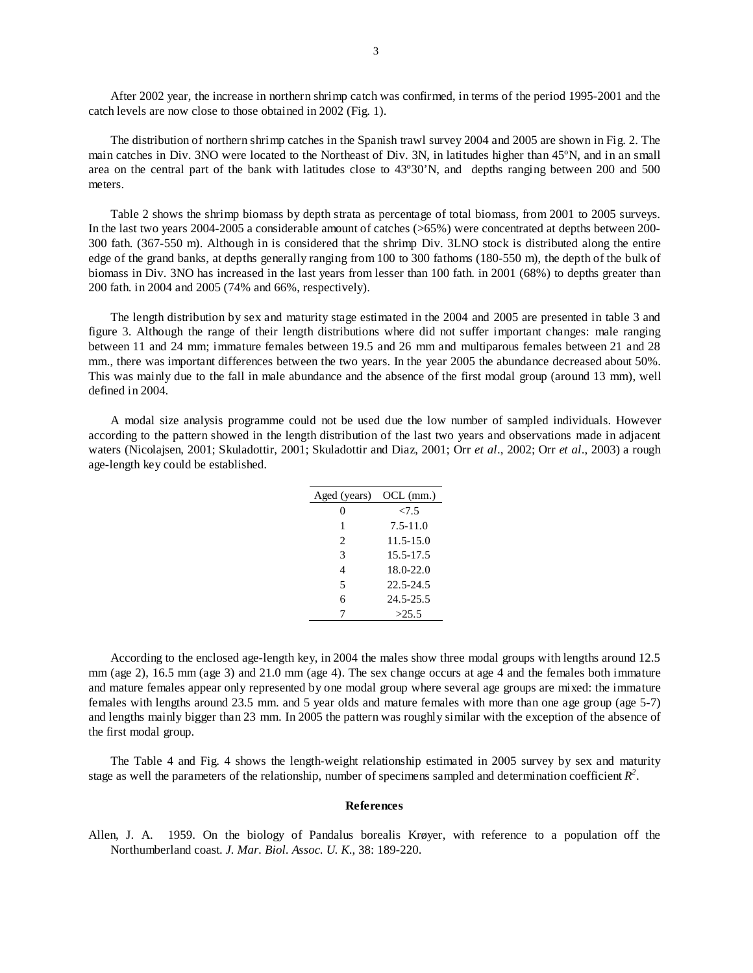After 2002 year, the increase in northern shrimp catch was confirmed, in terms of the period 1995-2001 and the catch levels are now close to those obtained in 2002 (Fig. 1).

The distribution of northern shrimp catches in the Spanish trawl survey 2004 and 2005 are shown in Fig. 2. The main catches in Div. 3NO were located to the Northeast of Div. 3N, in latitudes higher than 45ºN, and in an small area on the central part of the bank with latitudes close to 43º30'N, and depths ranging between 200 and 500 meters.

Table 2 shows the shrimp biomass by depth strata as percentage of total biomass, from 2001 to 2005 surveys. In the last two years 2004-2005 a considerable amount of catches (>65%) were concentrated at depths between 200- 300 fath. (367-550 m). Although in is considered that the shrimp Div. 3LNO stock is distributed along the entire edge of the grand banks, at depths generally ranging from 100 to 300 fathoms (180-550 m), the depth of the bulk of biomass in Div. 3NO has increased in the last years from lesser than 100 fath. in 2001 (68%) to depths greater than 200 fath. in 2004 and 2005 (74% and 66%, respectively).

The length distribution by sex and maturity stage estimated in the 2004 and 2005 are presented in table 3 and figure 3. Although the range of their length distributions where did not suffer important changes: male ranging between 11 and 24 mm; immature females between 19.5 and 26 mm and multiparous females between 21 and 28 mm., there was important differences between the two years. In the year 2005 the abundance decreased about 50%. This was mainly due to the fall in male abundance and the absence of the first modal group (around 13 mm), well defined in 2004.

A modal size analysis programme could not be used due the low number of sampled individuals. However according to the pattern showed in the length distribution of the last two years and observations made in adjacent waters (Nicolajsen, 2001; Skuladottir, 2001; Skuladottir and Diaz, 2001; Orr *et al*., 2002; Orr *et al*., 2003) a rough age-length key could be established.

| Aged (years) OCL (mm.) |               |
|------------------------|---------------|
| $\theta$               | 27.5          |
| 1                      | $7.5 - 11.0$  |
| 2                      | $11.5 - 15.0$ |
| 3                      | 15.5-17.5     |
| 4                      | 18.0-22.0     |
| 5                      | 22.5-24.5     |
| 6                      | 24.5-25.5     |
|                        | >25.5         |

According to the enclosed age-length key, in 2004 the males show three modal groups with lengths around 12.5 mm (age 2), 16.5 mm (age 3) and 21.0 mm (age 4). The sex change occurs at age 4 and the females both immature and mature females appear only represented by one modal group where several age groups are mixed: the immature females with lengths around 23.5 mm. and 5 year olds and mature females with more than one age group (age 5-7) and lengths mainly bigger than 23 mm. In 2005 the pattern was roughly similar with the exception of the absence of the first modal group.

The Table 4 and Fig. 4 shows the length-weight relationship estimated in 2005 survey by sex and maturity stage as well the parameters of the relationship, number of specimens sampled and determination coefficient  $R^2$ .

# **References**

Allen, J. A. 1959. On the biology of Pandalus borealis Krøyer, with reference to a population off the Northumberland coast. *J. Mar. Biol. Assoc. U. K*., 38: 189-220.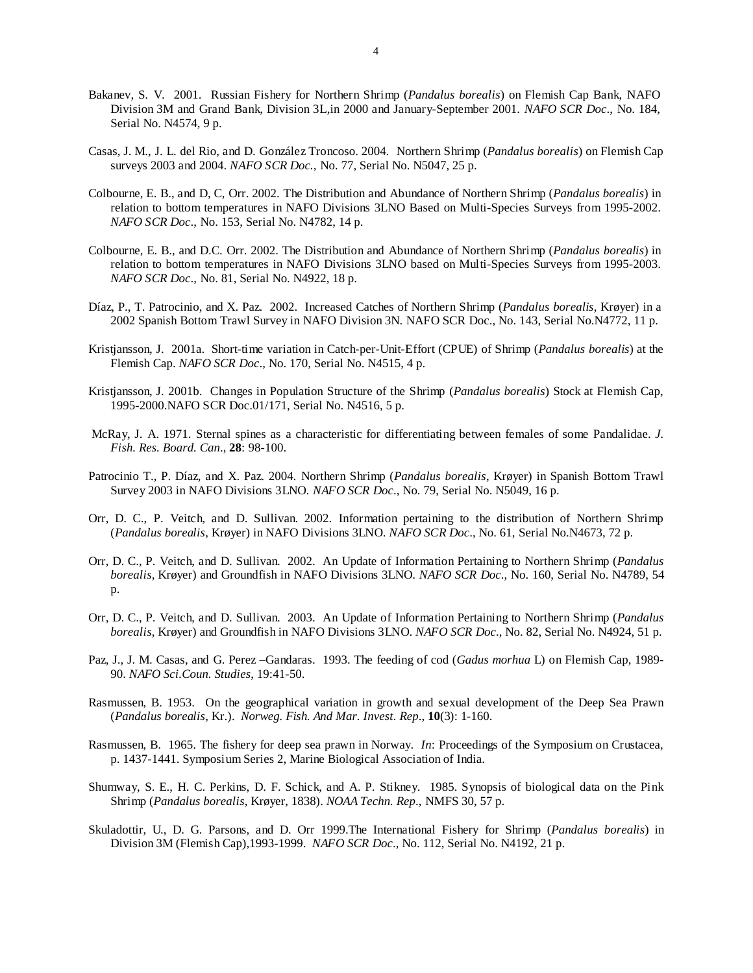- Bakanev, S. V. 2001. Russian Fishery for Northern Shrimp (*Pandalus borealis*) on Flemish Cap Bank, NAFO Division 3M and Grand Bank, Division 3L,in 2000 and January-September 2001. *NAFO SCR Doc*., No. 184, Serial No. N4574, 9 p.
- Casas, J. M., J. L. del Rio, and D. González Troncoso. 2004. Northern Shrimp (*Pandalus borealis*) on Flemish Cap surveys 2003 and 2004. *NAFO SCR Doc.,* No. 77, Serial No. N5047, 25 p.
- Colbourne, E. B., and D, C, Orr. 2002. The Distribution and Abundance of Northern Shrimp (*Pandalus borealis*) in relation to bottom temperatures in NAFO Divisions 3LNO Based on Multi-Species Surveys from 1995-2002. *NAFO SCR Doc*., No. 153, Serial No. N4782, 14 p.
- Colbourne, E. B., and D.C. Orr. 2002. The Distribution and Abundance of Northern Shrimp (*Pandalus borealis*) in relation to bottom temperatures in NAFO Divisions 3LNO based on Multi-Species Surveys from 1995-2003. *NAFO SCR Doc*., No. 81, Serial No. N4922, 18 p.
- Díaz, P., T. Patrocinio, and X. Paz. 2002. Increased Catches of Northern Shrimp (*Pandalus borealis*, Krøyer) in a 2002 Spanish Bottom Trawl Survey in NAFO Division 3N. NAFO SCR Doc., No. 143, Serial No.N4772, 11 p.
- Kristjansson, J. 2001a. Short-time variation in Catch-per-Unit-Effort (CPUE) of Shrimp (*Pandalus borealis*) at the Flemish Cap. *NAFO SCR Doc*., No. 170, Serial No. N4515, 4 p.
- Kristjansson, J. 2001b. Changes in Population Structure of the Shrimp (*Pandalus borealis*) Stock at Flemish Cap, 1995-2000.NAFO SCR Doc.01/171, Serial No. N4516, 5 p.
- McRay, J. A. 1971. Sternal spines as a characteristic for differentiating between females of some Pandalidae. *J. Fish. Res. Board. Can*., **28**: 98-100.
- Patrocinio T., P. Díaz, and X. Paz. 2004. Northern Shrimp (*Pandalus borealis*, Krøyer) in Spanish Bottom Trawl Survey 2003 in NAFO Divisions 3LNO. *NAFO SCR Doc*., No. 79, Serial No. N5049, 16 p.
- Orr, D. C., P. Veitch, and D. Sullivan. 2002. Information pertaining to the distribution of Northern Shrimp (*Pandalus borealis*, Krøyer) in NAFO Divisions 3LNO. *NAFO SCR Doc*., No. 61, Serial No.N4673, 72 p.
- Orr, D. C., P. Veitch, and D. Sullivan. 2002. An Update of Information Pertaining to Northern Shrimp (*Pandalus borealis*, Krøyer) and Groundfish in NAFO Divisions 3LNO. *NAFO SCR Doc*., No. 160, Serial No. N4789, 54 p.
- Orr, D. C., P. Veitch, and D. Sullivan. 2003. An Update of Information Pertaining to Northern Shrimp (*Pandalus borealis*, Krøyer) and Groundfish in NAFO Divisions 3LNO. *NAFO SCR Doc*., No. 82, Serial No. N4924, 51 p.
- Paz, J., J. M. Casas, and G. Perez –Gandaras. 1993. The feeding of cod (*Gadus morhua* L) on Flemish Cap, 1989- 90. *NAFO Sci.Coun. Studies*, 19:41-50.
- Rasmussen, B. 1953. On the geographical variation in growth and sexual development of the Deep Sea Prawn (*Pandalus borealis*, Kr.). *Norweg. Fish. And Mar. Invest. Rep*., **10**(3): 1-160.
- Rasmussen, B. 1965. The fishery for deep sea prawn in Norway. *In*: Proceedings of the Symposium on Crustacea, p. 1437-1441. Symposium Series 2, Marine Biological Association of India.
- Shumway, S. E., H. C. Perkins, D. F. Schick, and A. P. Stikney. 1985. Synopsis of biological data on the Pink Shrimp (*Pandalus borealis*, Krøyer, 1838). *NOAA Techn. Rep*., NMFS 30, 57 p.
- Skuladottir, U., D. G. Parsons, and D. Orr 1999.The International Fishery for Shrimp (*Pandalus borealis*) in Division 3M (Flemish Cap),1993-1999. *NAFO SCR Doc*., No. 112, Serial No. N4192, 21 p.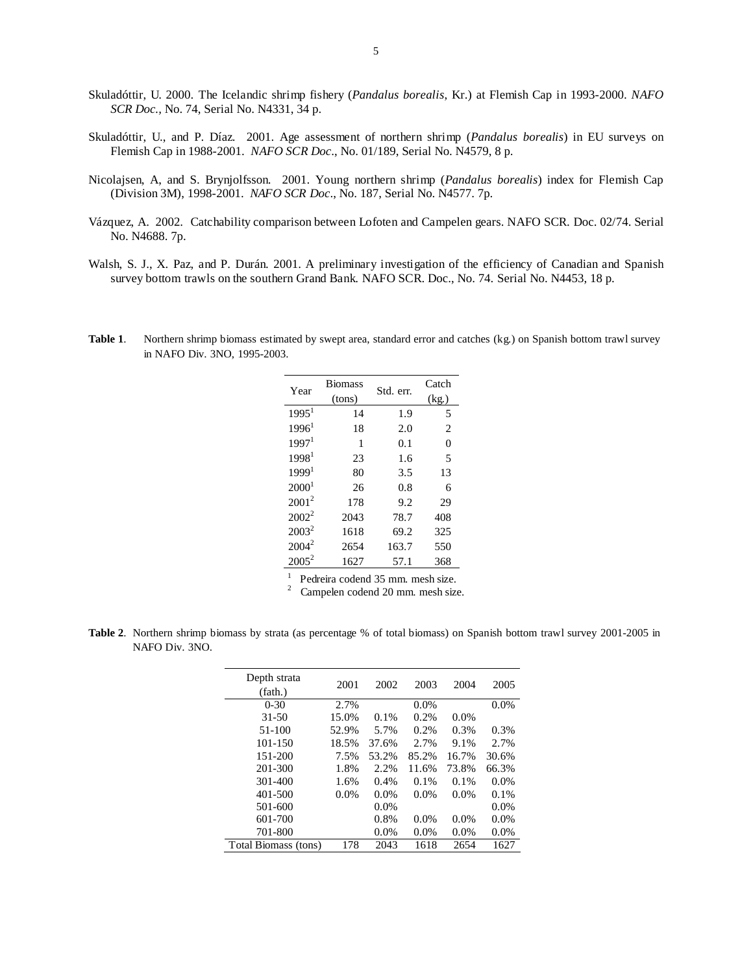- Skuladóttir, U. 2000. The Icelandic shrimp fishery (*Pandalus borealis*, Kr.) at Flemish Cap in 1993-2000. *NAFO SCR Doc.,* No. 74, Serial No. N4331, 34 p.
- Skuladóttir, U., and P. Díaz. 2001. Age assessment of northern shrimp (*Pandalus borealis*) in EU surveys on Flemish Cap in 1988-2001. *NAFO SCR Doc*., No. 01/189, Serial No. N4579, 8 p.
- Nicolajsen, A, and S. Brynjolfsson. 2001. Young northern shrimp (*Pandalus borealis*) index for Flemish Cap (Division 3M), 1998-2001. *NAFO SCR Doc*., No. 187, Serial No. N4577. 7p.
- Vázquez, A. 2002. Catchability comparison between Lofoten and Campelen gears. NAFO SCR. Doc. 02/74. Serial No. N4688. 7p.
- Walsh, S. J., X. Paz, and P. Durán. 2001. A preliminary investigation of the efficiency of Canadian and Spanish survey bottom trawls on the southern Grand Bank. NAFO SCR. Doc., No. 74. Serial No. N4453, 18 p.

| Year              | <b>Biomass</b><br>(tons) | Std. err. | Catch<br>(kg) |
|-------------------|--------------------------|-----------|---------------|
|                   |                          |           |               |
| 1995 <sup>1</sup> | 14                       | 1.9       | 5             |
| $1996^1$          | 18                       | 2.0       | 2             |
| 1997 <sup>1</sup> | 1                        | 0.1       | 0             |
| 1998 <sup>1</sup> | 23                       | 1.6       | 5             |
| 1999 <sup>1</sup> | 80                       | 3.5       | 13            |
| 2000 <sup>1</sup> | 26                       | 0.8       | 6             |
| $2001^2$          | 178                      | 9.2       | 29            |
| $2002^2$          | 2043                     | 78.7      | 408           |
| $2003^2$          | 1618                     | 69.2      | 325           |
| $2004^2$          | 2654                     | 163.7     | 550           |
| $2005^2$          | 1627                     | 57.1      | 368           |

**Table 1**. Northern shrimp biomass estimated by swept area, standard error and catches (kg.) on Spanish bottom trawl survey in NAFO Div. 3NO, 1995-2003.

> 1 Pedreira codend 35 mm. mesh size.

2 Campelen codend 20 mm. mesh size.

**Table 2**. Northern shrimp biomass by strata (as percentage % of total biomass) on Spanish bottom trawl survey 2001-2005 in NAFO Div. 3NO.

| Depth strata<br>(fath.) | 2001  | 2002    | 2003    | 2004    | 2005    |
|-------------------------|-------|---------|---------|---------|---------|
| $0 - 30$                | 2.7%  |         | 0.0%    |         | 0.0%    |
| $31 - 50$               | 15.0% | 0.1%    | 0.2%    | $0.0\%$ |         |
| 51-100                  | 52.9% | 5.7%    | 0.2%    | 0.3%    | 0.3%    |
| $101 - 150$             | 18.5% | 37.6%   | 2.7%    | 9.1%    | 2.7%    |
| 151-200                 | 7.5%  | 53.2%   | 85.2%   | 16.7%   | 30.6%   |
| 201-300                 | 1.8%  | 2.2%    | 11.6%   | 73.8%   | 66.3%   |
| 301-400                 | 1.6%  | 0.4%    | $0.1\%$ | $0.1\%$ | $0.0\%$ |
| 401-500                 | 0.0%  | 0.0%    | 0.0%    | 0.0%    | 0.1%    |
| 501-600                 |       | $0.0\%$ |         |         | $0.0\%$ |
| 601-700                 |       | 0.8%    | 0.0%    | 0.0%    | 0.0%    |
| 701-800                 |       | $0.0\%$ | $0.0\%$ | 0.0%    | 0.0%    |
| Total Biomass (tons)    | 178   | 2043    | 1618    | 2654    | 1627    |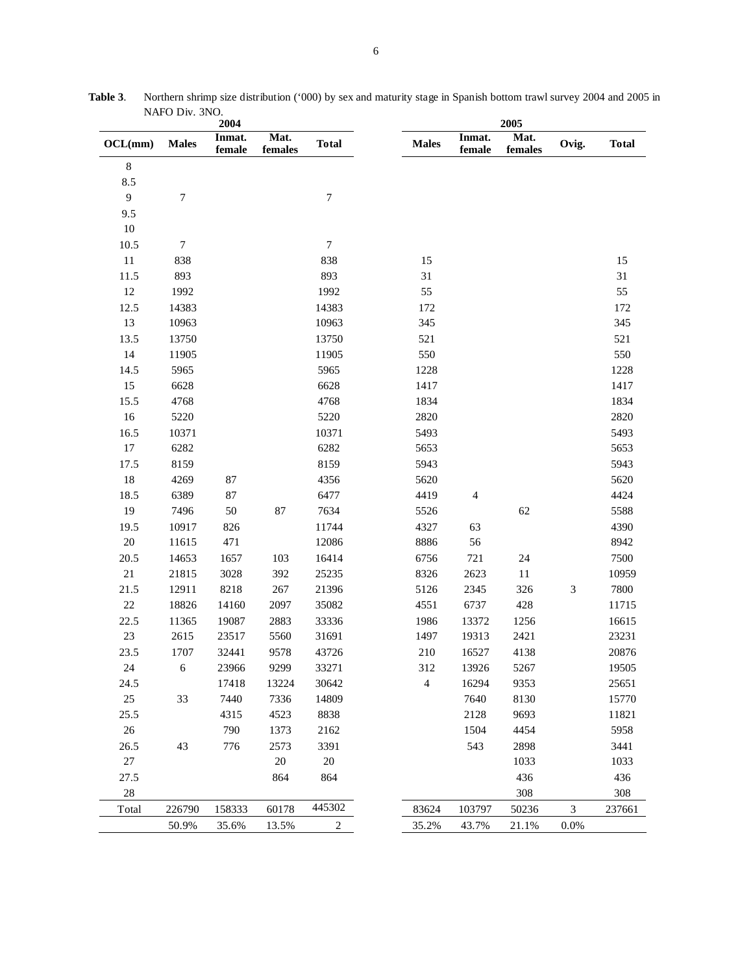| 2004           |                  |                  | 2005            |                  |                |                  |                         |                             |              |
|----------------|------------------|------------------|-----------------|------------------|----------------|------------------|-------------------------|-----------------------------|--------------|
| OCL(mm)        | <b>Males</b>     | Inmat.<br>female | Mat.<br>females | <b>Total</b>     | <b>Males</b>   | Inmat.<br>female | Mat.<br>${\bf females}$ | Ovig.                       | <b>Total</b> |
| $\,8\,$        |                  |                  |                 |                  |                |                  |                         |                             |              |
| 8.5            |                  |                  |                 |                  |                |                  |                         |                             |              |
| $\overline{9}$ | 7                |                  |                 | $\boldsymbol{7}$ |                |                  |                         |                             |              |
| 9.5            |                  |                  |                 |                  |                |                  |                         |                             |              |
| $10\,$         |                  |                  |                 |                  |                |                  |                         |                             |              |
| 10.5           | $\boldsymbol{7}$ |                  |                 | $\tau$           |                |                  |                         |                             |              |
| $11\,$         | 838              |                  |                 | 838              | 15             |                  |                         |                             | 15           |
| 11.5           | 893              |                  |                 | 893              | 31             |                  |                         |                             | 31           |
| $12\,$         | 1992             |                  |                 | 1992             | 55             |                  |                         |                             | 55           |
| 12.5           | 14383            |                  |                 | 14383            | 172            |                  |                         |                             | 172          |
| 13             | 10963            |                  |                 | 10963            | 345            |                  |                         |                             | 345          |
| 13.5           | 13750            |                  |                 | 13750            | 521            |                  |                         |                             | 521          |
| 14             | 11905            |                  |                 | 11905            | 550            |                  |                         |                             | 550          |
| 14.5           | 5965             |                  |                 | 5965             | 1228           |                  |                         |                             | 1228         |
| 15             | 6628             |                  |                 | 6628             | 1417           |                  |                         |                             | 1417         |
| 15.5           | 4768             |                  |                 | 4768             | 1834           |                  |                         |                             | 1834         |
| 16             | 5220             |                  |                 | 5220             | 2820           |                  |                         |                             | 2820         |
| 16.5           | 10371            |                  |                 | 10371            | 5493           |                  |                         |                             | 5493         |
| 17             | 6282             |                  |                 | 6282             | 5653           |                  |                         |                             | 5653         |
| 17.5           | 8159             |                  |                 | 8159             | 5943           |                  |                         |                             | 5943         |
| $18\,$         | 4269             | $87\,$           |                 | 4356             | 5620           |                  |                         |                             | 5620         |
| 18.5           | 6389             | $87\,$           |                 | 6477             | 4419           | 4                |                         |                             | 4424         |
| 19             | 7496             | $50\,$           | $87\,$          | 7634             | 5526           |                  | 62                      |                             | 5588         |
| 19.5           | 10917            | 826              |                 | 11744            | 4327           | 63               |                         |                             | 4390         |
| $20\,$         | 11615            | 471              |                 | 12086            | 8886           | 56               |                         |                             | 8942         |
| 20.5           | 14653            | 1657             | 103             | 16414            | 6756           | 721              | 24                      |                             | 7500         |
| $21\,$         | 21815            | 3028             | 392             | 25235            | 8326           | 2623             | 11                      |                             | 10959        |
| 21.5           | 12911            | 8218             | $267\,$         | 21396            | 5126           | 2345             | 326                     | $\ensuremath{\mathfrak{Z}}$ | 7800         |
| $22\,$         | 18826            | 14160            | 2097            | 35082            | 4551           | 6737             | 428                     |                             | 11715        |
| 22.5           | 11365            | 19087            | 2883            | 33336            | 1986           | 13372            | 1256                    |                             | 16615        |
| $23\,$         | 2615             | 23517            | 5560            | 31691            | 1497           | 19313            | 2421                    |                             | 23231        |
| 23.5           | 1707             | 32441            | 9578            | 43726            | 210            | 16527            | 4138                    |                             | 20876        |
| 24             | 6                | 23966            | 9299            | 33271            | 312            | 13926            | 5267                    |                             | 19505        |
| 24.5           |                  | 17418            | 13224           | 30642            | $\overline{4}$ | 16294            | 9353                    |                             | 25651        |
| $25\,$         | 33               | 7440             | 7336            | 14809            |                | 7640             | 8130                    |                             | 15770        |
| 25.5           |                  | 4315             | 4523            | 8838             |                | 2128             | 9693                    |                             | 11821        |
| $26\,$         |                  | 790              | 1373            | 2162             |                | 1504             | 4454                    |                             | 5958         |
| 26.5           | 43               | 776              | 2573            | 3391             |                | 543              | 2898                    |                             | 3441         |
| 27             |                  |                  | $20\,$          | $20\,$           |                |                  | 1033                    |                             | 1033         |
| 27.5           |                  |                  | 864             | 864              |                |                  | 436                     |                             | 436          |
| $28\,$         |                  |                  |                 |                  |                |                  | 308                     |                             | 308          |
| Total          | 226790           | 158333           | 60178           | 445302           | 83624          | 103797           | 50236                   | 3                           | 237661       |
|                | 50.9%            | 35.6%            | 13.5%           | 2                | 35.2%          | 43.7%            | 21.1%                   | 0.0%                        |              |

**Table 3**. Northern shrimp size distribution ('000) by sex and maturity stage in Spanish bottom trawl survey 2004 and 2005 in NAFO Div. 3NO.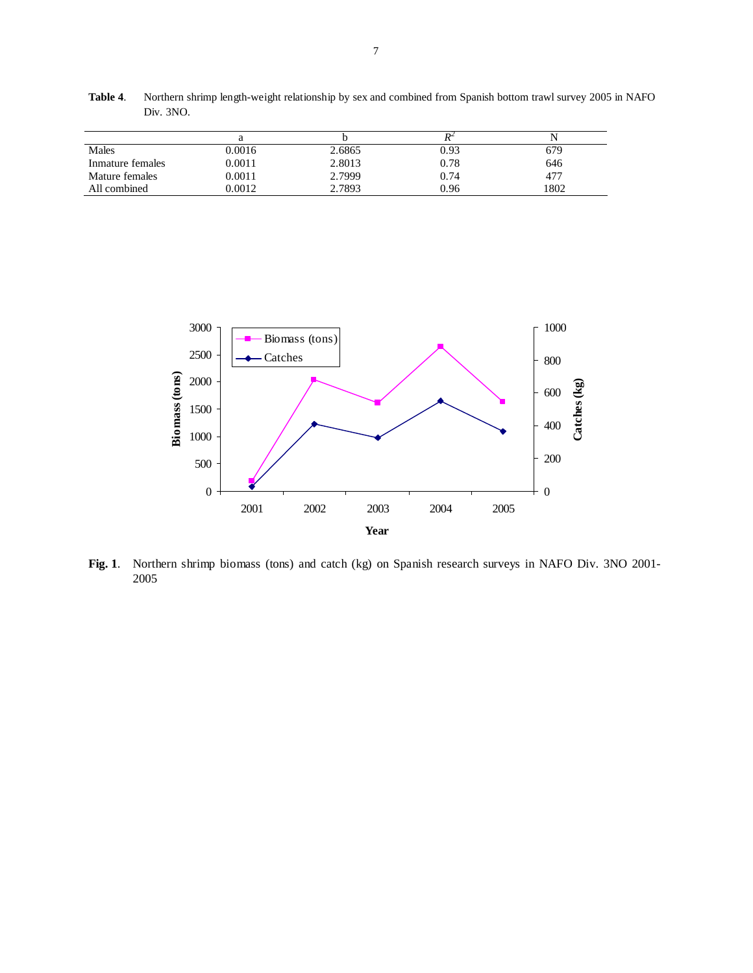| Males            | 0.0016 | 2.6865 | 0.93 | 679  |
|------------------|--------|--------|------|------|
| Inmature females | 0.0011 | 2.8013 | 0.78 | 646  |
| Mature females   | 0.0011 | 2.7999 | 0.74 | 477  |
| All combined     | 0.0012 | 2.7893 | 0.96 | 1802 |

**Table 4**. Northern shrimp length-weight relationship by sex and combined from Spanish bottom trawl survey 2005 in NAFO Div. 3NO.



**Fig. 1**. Northern shrimp biomass (tons) and catch (kg) on Spanish research surveys in NAFO Div. 3NO 2001- 2005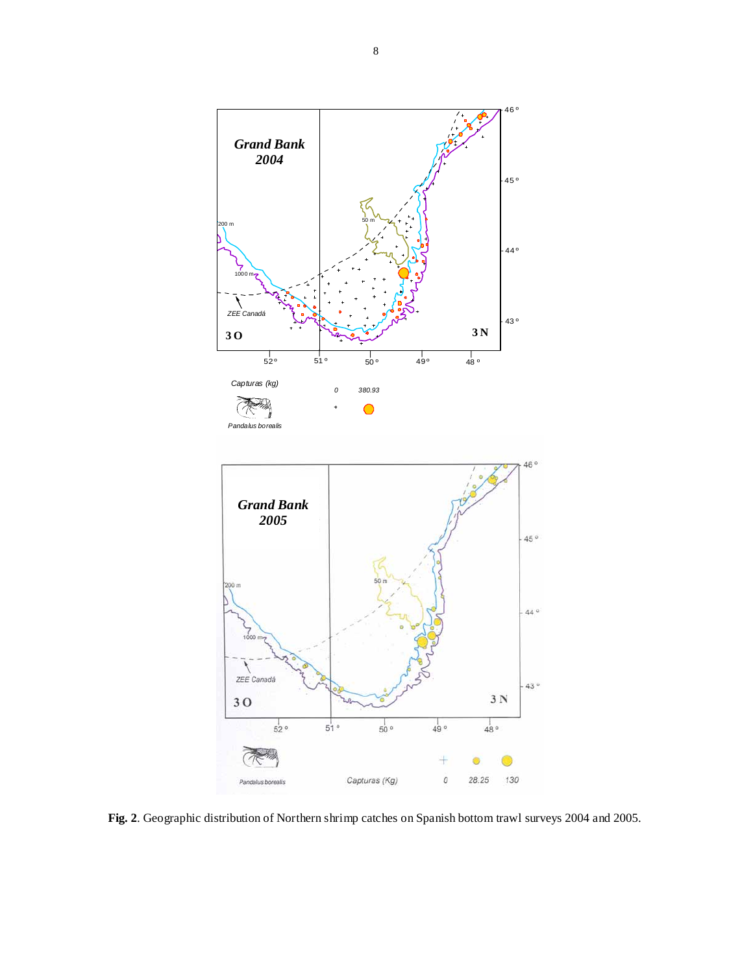

**Fig. 2**. Geographic distribution of Northern shrimp catches on Spanish bottom trawl surveys 2004 and 2005.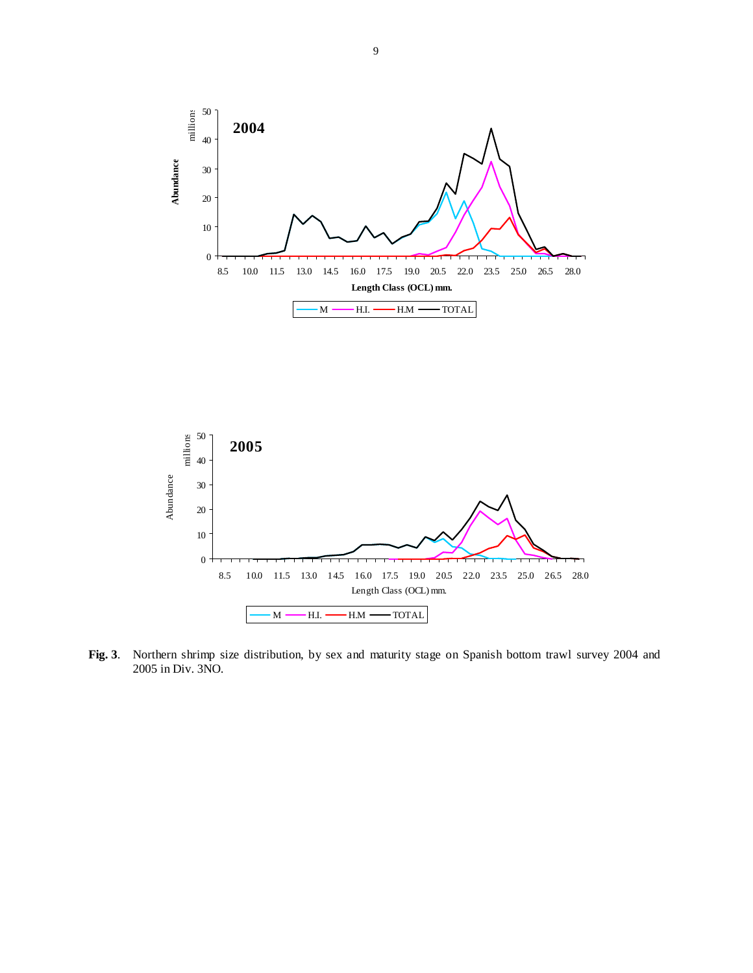



**Fig. 3**. Northern shrimp size distribution, by sex and maturity stage on Spanish bottom trawl survey 2004 and 2005 in Div. 3NO.